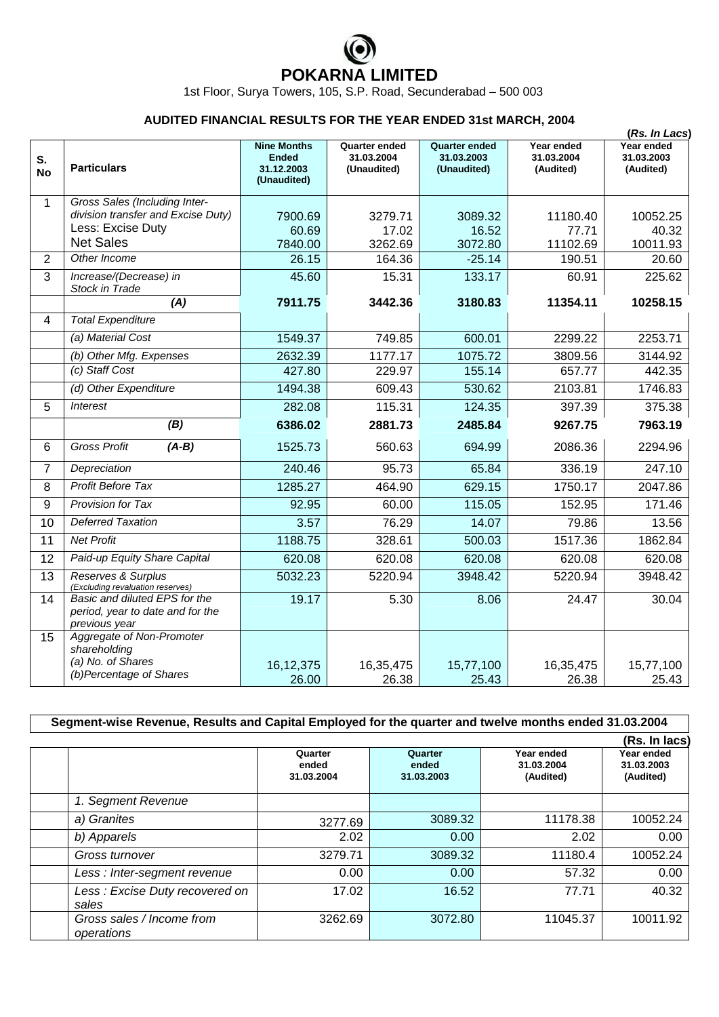## **POKARNA LIMITED**

1st Floor, Surya Towers, 105, S.P. Road, Secunderabad – 500 003

| <b>AUDITED FINANCIAL RESULTS FOR THE YEAR ENDED 31st MARCH, 2004</b> |                                                                                                              |                                                                 |                                                   |                                                   |                                       |                                                        |  |  |
|----------------------------------------------------------------------|--------------------------------------------------------------------------------------------------------------|-----------------------------------------------------------------|---------------------------------------------------|---------------------------------------------------|---------------------------------------|--------------------------------------------------------|--|--|
| S.<br><b>No</b>                                                      | <b>Particulars</b>                                                                                           | <b>Nine Months</b><br><b>Ended</b><br>31.12.2003<br>(Unaudited) | <b>Quarter ended</b><br>31.03.2004<br>(Unaudited) | <b>Quarter ended</b><br>31.03.2003<br>(Unaudited) | Year ended<br>31.03.2004<br>(Audited) | (Rs. In Lacs)<br>Year ended<br>31.03.2003<br>(Audited) |  |  |
| 1                                                                    | Gross Sales (Including Inter-<br>division transfer and Excise Duty)<br>Less: Excise Duty<br><b>Net Sales</b> | 7900.69<br>60.69<br>7840.00                                     | 3279.71<br>17.02<br>3262.69                       | 3089.32<br>16.52<br>3072.80                       | 11180.40<br>77.71<br>11102.69         | 10052.25<br>40.32<br>10011.93                          |  |  |
| $\overline{2}$                                                       | Other Income                                                                                                 | 26.15                                                           | 164.36                                            | $-25.14$                                          | 190.51                                | 20.60                                                  |  |  |
| $\overline{3}$                                                       | Increase/(Decrease) in<br>Stock in Trade                                                                     | 45.60                                                           | 15.31                                             | 133.17                                            | 60.91                                 | 225.62                                                 |  |  |
|                                                                      | (A)                                                                                                          | 7911.75                                                         | 3442.36                                           | 3180.83                                           | 11354.11                              | 10258.15                                               |  |  |
| 4                                                                    | <b>Total Expenditure</b>                                                                                     |                                                                 |                                                   |                                                   |                                       |                                                        |  |  |
|                                                                      | (a) Material Cost                                                                                            | 1549.37                                                         | 749.85                                            | 600.01                                            | 2299.22                               | 2253.71                                                |  |  |
|                                                                      | (b) Other Mfg. Expenses                                                                                      | 2632.39                                                         | 1177.17                                           | 1075.72                                           | 3809.56                               | 3144.92                                                |  |  |
|                                                                      | (c) Staff Cost                                                                                               | 427.80                                                          | 229.97                                            | 155.14                                            | 657.77                                | 442.35                                                 |  |  |
|                                                                      | (d) Other Expenditure                                                                                        | 1494.38                                                         | 609.43                                            | 530.62                                            | 2103.81                               | 1746.83                                                |  |  |
| 5                                                                    | <b>Interest</b>                                                                                              | 282.08                                                          | 115.31                                            | 124.35                                            | 397.39                                | 375.38                                                 |  |  |
|                                                                      | (B)                                                                                                          | 6386.02                                                         | 2881.73                                           | 2485.84                                           | 9267.75                               | 7963.19                                                |  |  |
| 6                                                                    | <b>Gross Profit</b><br>$(A-B)$                                                                               | 1525.73                                                         | 560.63                                            | 694.99                                            | 2086.36                               | 2294.96                                                |  |  |
| 7                                                                    | Depreciation                                                                                                 | 240.46                                                          | 95.73                                             | 65.84                                             | 336.19                                | 247.10                                                 |  |  |
| 8                                                                    | <b>Profit Before Tax</b>                                                                                     | 1285.27                                                         | 464.90                                            | 629.15                                            | 1750.17                               | 2047.86                                                |  |  |
| 9                                                                    | <b>Provision for Tax</b>                                                                                     | 92.95                                                           | 60.00                                             | 115.05                                            | 152.95                                | 171.46                                                 |  |  |
| 10                                                                   | <b>Deferred Taxation</b>                                                                                     | 3.57                                                            | 76.29                                             | 14.07                                             | 79.86                                 | 13.56                                                  |  |  |
| 11                                                                   | <b>Net Profit</b>                                                                                            | 1188.75                                                         | 328.61                                            | 500.03                                            | 1517.36                               | 1862.84                                                |  |  |
| 12                                                                   | Paid-up Equity Share Capital                                                                                 | 620.08                                                          | 620.08                                            | 620.08                                            | 620.08                                | 620.08                                                 |  |  |
| $\overline{13}$                                                      | Reserves & Surplus<br>(Excluding revaluation reserves)                                                       | 5032.23                                                         | 5220.94                                           | 3948.42                                           | 5220.94                               | 3948.42                                                |  |  |
| 14                                                                   | Basic and diluted EPS for the<br>period, year to date and for the<br>previous year                           | 19.17                                                           | 5.30                                              | 8.06                                              | 24.47                                 | 30.04                                                  |  |  |
| 15                                                                   | Aggregate of Non-Promoter<br>shareholding<br>(a) No. of Shares<br>(b)Percentage of Shares                    | 16, 12, 375<br>26.00                                            | 16,35,475<br>26.38                                | 15,77,100<br>25.43                                | 16,35,475<br>26.38                    | 15,77,100<br>25.43                                     |  |  |

| Segment-wise Revenue, Results and Capital Employed for the quarter and twelve months ended 31.03.2004 |                                |                                |                                       |                                       |  |  |  |  |
|-------------------------------------------------------------------------------------------------------|--------------------------------|--------------------------------|---------------------------------------|---------------------------------------|--|--|--|--|
|                                                                                                       |                                |                                |                                       |                                       |  |  |  |  |
|                                                                                                       | Quarter<br>ended<br>31.03.2004 | Quarter<br>ended<br>31.03.2003 | Year ended<br>31.03.2004<br>(Audited) | Year ended<br>31.03.2003<br>(Audited) |  |  |  |  |
| 1. Segment Revenue                                                                                    |                                |                                |                                       |                                       |  |  |  |  |
| a) Granites                                                                                           | 3277.69                        | 3089.32                        | 11178.38                              | 10052.24                              |  |  |  |  |
| b) Apparels                                                                                           | 2.02                           | 0.00                           | 2.02                                  | 0.00                                  |  |  |  |  |
| Gross turnover                                                                                        | 3279.71                        | 3089.32                        | 11180.4                               | 10052.24                              |  |  |  |  |
| Less: Inter-segment revenue                                                                           | 0.00                           | 0.00                           | 57.32                                 | 0.00                                  |  |  |  |  |
| Less: Excise Duty recovered on<br>sales                                                               | 17.02                          | 16.52                          | 77.71                                 | 40.32                                 |  |  |  |  |
| Gross sales / Income from<br>operations                                                               | 3262.69                        | 3072.80                        | 11045.37                              | 10011.92                              |  |  |  |  |